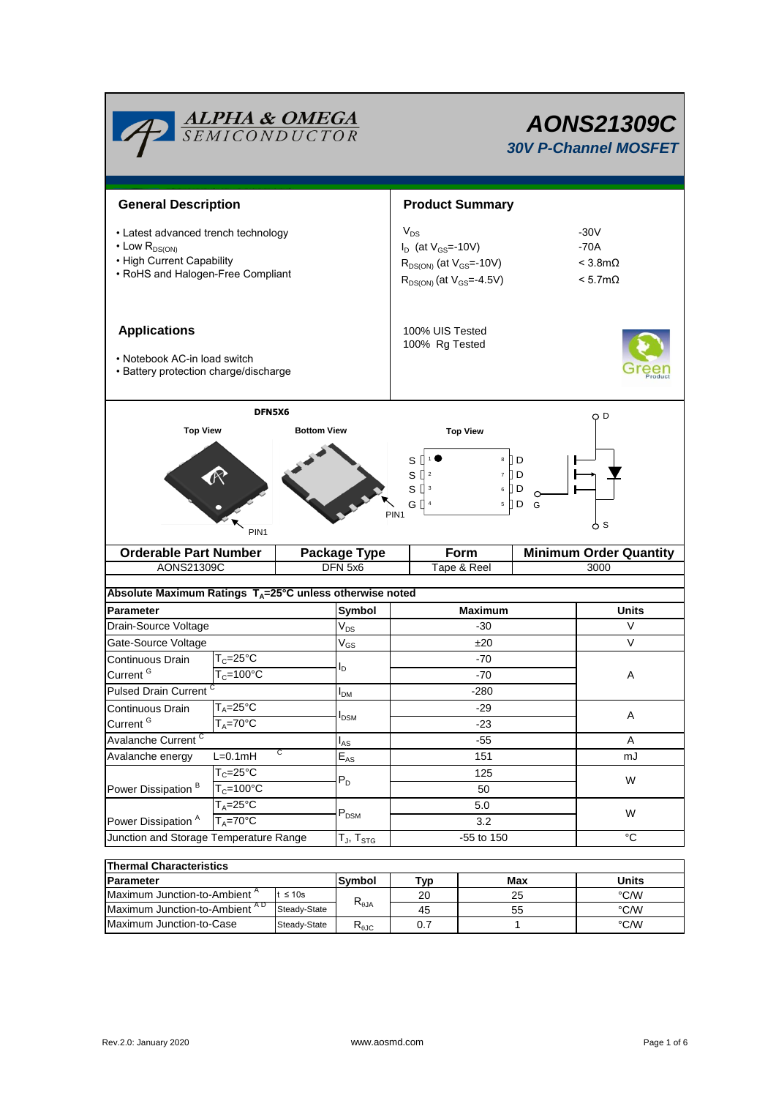

# *AONS21309C 30V P-Channel MOSFET*

| <b>General Description</b>                                                                                                               |                       |                    |                                         | <b>Product Summary</b>                                                                                          |                                                                      |                                        |                                                                 |  |  |
|------------------------------------------------------------------------------------------------------------------------------------------|-----------------------|--------------------|-----------------------------------------|-----------------------------------------------------------------------------------------------------------------|----------------------------------------------------------------------|----------------------------------------|-----------------------------------------------------------------|--|--|
| • Latest advanced trench technology<br>$\cdot$ Low R <sub>DS(ON)</sub><br>• High Current Capability<br>• RoHS and Halogen-Free Compliant |                       |                    |                                         | $V_{DS}$<br>$I_D$ (at $V_{GS}$ =-10V)<br>$R_{DS(ON)}$ (at $V_{GS}$ =-10V)<br>$R_{DS(ON)}$ (at $V_{GS} = 4.5V$ ) |                                                                      |                                        | $-30V$<br>$-70A$<br>$<$ 3.8m $\Omega$<br>$< 5.7 \text{m}\Omega$ |  |  |
| <b>Applications</b><br>• Notebook AC-in load switch<br>• Battery protection charge/discharge                                             |                       |                    |                                         | 100% UIS Tested<br>100% Rg Tested                                                                               |                                                                      |                                        |                                                                 |  |  |
|                                                                                                                                          | DFN5X6                |                    |                                         |                                                                                                                 |                                                                      |                                        | QD                                                              |  |  |
| <b>Top View</b>                                                                                                                          |                       | <b>Bottom View</b> |                                         |                                                                                                                 | <b>Top View</b>                                                      |                                        |                                                                 |  |  |
|                                                                                                                                          | PIN <sub>1</sub>      |                    |                                         | S<br>$\rm s$<br>s [<br>G II<br>PIN <sub>1</sub>                                                                 | 8<br>$\overline{\mathfrak{c}}$<br>$\overline{c}$<br>$\mathsf 3$<br>6 | $\mathbb{D}$<br>ПD<br>[] D<br>5 D<br>G | 6 S                                                             |  |  |
| <b>Orderable Part Number</b>                                                                                                             |                       |                    | <b>Package Type</b>                     |                                                                                                                 | Form                                                                 |                                        | <b>Minimum Order Quantity</b>                                   |  |  |
| AONS21309C                                                                                                                               |                       |                    | DFN 5x6                                 | Tape & Reel                                                                                                     |                                                                      |                                        | 3000                                                            |  |  |
| Absolute Maximum Ratings $T_A = 25^\circ C$ unless otherwise noted                                                                       |                       |                    |                                         |                                                                                                                 |                                                                      |                                        |                                                                 |  |  |
| Parameter                                                                                                                                |                       |                    |                                         |                                                                                                                 |                                                                      |                                        |                                                                 |  |  |
| Drain-Source Voltage                                                                                                                     |                       |                    | Symbol                                  |                                                                                                                 | <b>Maximum</b>                                                       |                                        | <b>Units</b>                                                    |  |  |
|                                                                                                                                          |                       |                    | $V_{DS}$                                |                                                                                                                 | $-30$                                                                |                                        | V                                                               |  |  |
| Gate-Source Voltage                                                                                                                      |                       |                    |                                         |                                                                                                                 | ±20                                                                  |                                        | $\vee$                                                          |  |  |
| Continuous Drain                                                                                                                         | $T_c = 25$ °C         |                    | $\ensuremath{\mathsf{V}}_{\mathsf{GS}}$ |                                                                                                                 | $-70$                                                                |                                        |                                                                 |  |  |
| Current <sup>G</sup>                                                                                                                     | $T_c = 100^{\circ}C$  |                    | l <sub>D</sub>                          |                                                                                                                 | $-70$                                                                |                                        | A                                                               |  |  |
| <b>Pulsed Drain Current</b>                                                                                                              |                       |                    | I <sub>DM</sub>                         |                                                                                                                 | $-280$                                                               |                                        |                                                                 |  |  |
| Continuous Drain                                                                                                                         | $T_A = 25^{\circ}C$   |                    |                                         |                                                                                                                 | -29                                                                  |                                        |                                                                 |  |  |
| Current <sup>G</sup>                                                                                                                     | $T_A = 70^\circ C$    |                    | <b>I</b> <sub>DSM</sub>                 |                                                                                                                 | $-23$                                                                |                                        | Α                                                               |  |  |
| Avalanche Current <sup>C</sup>                                                                                                           |                       |                    | l <sub>AS</sub>                         |                                                                                                                 | -55                                                                  |                                        | Α                                                               |  |  |
| Avalanche energy                                                                                                                         | $L=0.1$ mH            | C                  | $\mathsf{E}_{\mathsf{AS}}$              |                                                                                                                 | 151                                                                  |                                        | mJ                                                              |  |  |
|                                                                                                                                          | $T_c = 25$ °C         |                    |                                         |                                                                                                                 | 125                                                                  |                                        |                                                                 |  |  |
| Power Dissipation <sup>B</sup>                                                                                                           | $T_c = 100^{\circ}$ C |                    | $P_D$                                   |                                                                                                                 | 50                                                                   |                                        | W                                                               |  |  |
|                                                                                                                                          | $T_A = 25^{\circ}C$   |                    |                                         |                                                                                                                 | 5.0                                                                  |                                        |                                                                 |  |  |
| Power Dissipation <sup>A</sup>                                                                                                           | $T_A = 70^\circ C$    |                    | $\mathsf{P}_\mathsf{DSM}$               |                                                                                                                 | 3.2                                                                  |                                        | W                                                               |  |  |
| Junction and Storage Temperature Range                                                                                                   |                       |                    | $T_J$ , $T_{STG}$                       |                                                                                                                 | -55 to 150                                                           |                                        | $^{\circ}C$                                                     |  |  |

| Thermal Characteristics                  |              |                |     |       |      |  |  |
|------------------------------------------|--------------|----------------|-----|-------|------|--|--|
| <b>IParameter</b>                        | Symbol       | ™ vp           | Max | Units |      |  |  |
| Maximum Junction-to-Ambient <sup>"</sup> | $\leq 10s$   |                | 20  | 25    | °C/W |  |  |
| Maximum Junction-to-Ambient AD           | Steady-State | $R_{\theta$ JA | 45  | 55    | °C/W |  |  |
| Maximum Junction-to-Case                 | Steady-State | Ւ⊕ЈС           | υ., |       | °C/W |  |  |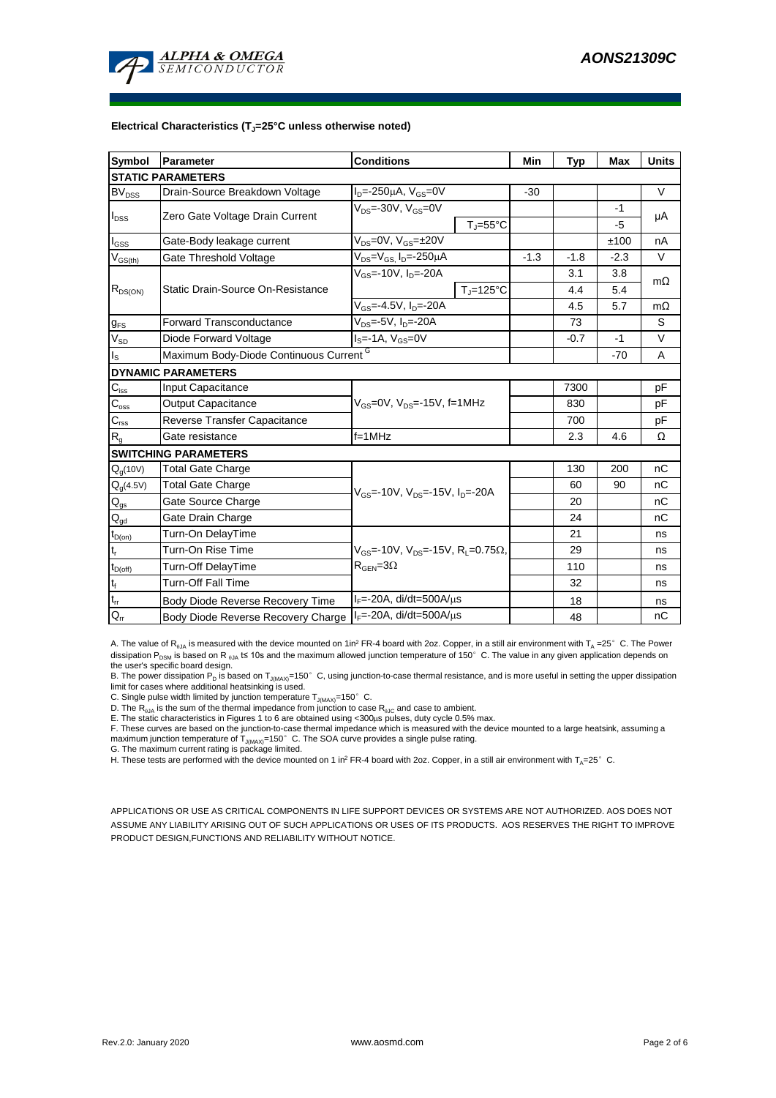

#### **Electrical Characteristics (TJ=25°C unless otherwise noted)**

| <b>Symbol</b>                          | Parameter                                                  | <b>Conditions</b>                                                  | Min    | <b>Typ</b> | <b>Max</b> | <b>Units</b> |  |  |
|----------------------------------------|------------------------------------------------------------|--------------------------------------------------------------------|--------|------------|------------|--------------|--|--|
| <b>STATIC PARAMETERS</b>               |                                                            |                                                                    |        |            |            |              |  |  |
| $BV_{DSS}$                             | Drain-Source Breakdown Voltage                             | $I_{D} = 250 \mu A$ , $V_{GS} = 0V$                                | $-30$  |            |            | $\vee$       |  |  |
| $I_{DSS}$                              | Zero Gate Voltage Drain Current                            | $V_{DS}$ = 30V, $V_{GS}$ =0V                                       |        |            | $-1$       | μA           |  |  |
|                                        |                                                            | $T_{\parallel} = 55^{\circ}$ C                                     |        |            | $-5$       |              |  |  |
| $I_{GSS}$                              | Gate-Body leakage current                                  | $V_{DS} = 0V$ , $V_{GS} = \pm 20V$                                 |        |            | ±100       | nA           |  |  |
| $V_{GS(th)}$                           | Gate Threshold Voltage                                     | $V_{DS} = V_{GS}$ , $I_D = -250 \mu A$                             | $-1.3$ | $-1.8$     | $-2.3$     | $\vee$       |  |  |
| $R_{DS(ON)}$                           |                                                            | $V_{\text{GS}} = -10V, I_{\text{D}} = -20A$                        |        | 3.1        | 3.8        |              |  |  |
|                                        | Static Drain-Source On-Resistance                          | $T_i = 125^{\circ}C$                                               |        | 4.4        | 5.4        | $m\Omega$    |  |  |
|                                        |                                                            | $V_{GS}$ =-4.5V, $I_{D}$ =-20A                                     |        | 4.5        | 5.7        | $m\Omega$    |  |  |
| $g_{FS}$                               | <b>Forward Transconductance</b>                            | $V_{DS} = 5V$ , $I_{D} = 20A$                                      |        | 73         |            | S            |  |  |
| $V_{SD}$                               | Diode Forward Voltage                                      | $IS=-1A, VGS=0V$                                                   |        | $-0.7$     | $-1$       | V            |  |  |
| $I_{\rm S}$                            | Maximum Body-Diode Continuous Current G                    |                                                                    |        |            | $-70$      | A            |  |  |
|                                        | <b>DYNAMIC PARAMETERS</b>                                  |                                                                    |        |            |            |              |  |  |
| $C_{\text{iss}}$                       | Input Capacitance                                          |                                                                    |        | 7300       |            | pF           |  |  |
| $\mathsf{C}_{\mathrm{oss}}$            | <b>Output Capacitance</b>                                  | $V_{\text{GS}}$ =0V, $V_{\text{DS}}$ =-15V, f=1MHz                 |        | 830        |            | рF           |  |  |
| $C_{\text{rss}}$                       | Reverse Transfer Capacitance                               |                                                                    |        | 700        |            | рF           |  |  |
| $R_{g}$                                | Gate resistance                                            | $f=1MHz$                                                           |        | 2.3        | 4.6        | Ω            |  |  |
|                                        | <b>SWITCHING PARAMETERS</b>                                |                                                                    |        |            |            |              |  |  |
| $Q_q(10V)$                             | <b>Total Gate Charge</b>                                   |                                                                    |        | 130        | 200        | nC           |  |  |
| $Q_g(4.5V)$                            | Total Gate Charge                                          | $V_{\text{GS}}$ = 10V, $V_{\text{DS}}$ = 15V, $I_{\text{D}}$ = 20A |        | 60         | 90         | nC           |  |  |
| $\mathsf{Q}_{\mathsf{gs}}$             | Gate Source Charge                                         |                                                                    |        | 20         |            | nC           |  |  |
| $\mathsf{Q}_{\underline{\mathsf{gd}}}$ | Gate Drain Charge                                          |                                                                    |        | 24         |            | nC           |  |  |
| $t_{D(on)}$                            | Turn-On DelayTime                                          |                                                                    |        | 21         |            | ns           |  |  |
| $t_{r}$                                | Turn-On Rise Time                                          | $V_{GS}$ = 10V, $V_{DS}$ = 15V, R <sub>L</sub> =0.75 $\Omega$ ,    |        | 29         |            | ns           |  |  |
| $t_{D(off)}$                           | <b>Turn-Off DelayTime</b>                                  | $R_{\text{GEN}} = 3\Omega$                                         |        | 110        |            | ns           |  |  |
| $\mathsf{t}_{\mathsf{f}}$              | <b>Turn-Off Fall Time</b>                                  |                                                                    |        | 32         |            | ns           |  |  |
| $\mathsf{t}_{\mathsf{rr}}$             | Body Diode Reverse Recovery Time                           | $I_F$ =-20A, di/dt=500A/ $\mu$ s                                   |        | 18         |            | ns           |  |  |
| $Q_{rr}$                               | Body Diode Reverse Recovery Charge   F=-20A, di/dt=500A/µs |                                                                    |        | 48         |            | nC           |  |  |

A. The value of R<sub>BJA</sub> is measured with the device mounted on 1in<sup>2</sup> FR-4 board with 2oz. Copper, in a still air environment with T<sub>A</sub> =25°C. The Power dissipation P<sub>DSM</sub> is based on R <sub>0JA</sub> t≤ 10s and the maximum allowed junction temperature of 150°C. The value in any given application depends on the user's specific board design.

B. The power dissipation P<sub>D</sub> is based on T<sub>J(MAX)</sub>=150°C, using junction-to-case thermal resistance, and is more useful in setting the upper dissipation limit for cases where additional heatsinking is used.

C. Single pulse width limited by junction temperature  $T_{J(MAX)}$ =150°C.

D. The  $R_{qJA}$  is the sum of the thermal impedance from junction to case  $R_{qJC}$  and case to ambient.

E. The static characteristics in Figures 1 to 6 are obtained using <300µs pulses, duty cycle 0.5% max.<br>F. These curves are based on the junction-to-case thermal impedance which is measured with the device mounted to a lar maximum junction temperature of  $T_{J(MAX)}$ =150°C. The SOA curve provides a single pulse rating.

G. The maximum current rating is package limited.

H. These tests are performed with the device mounted on 1 in<sup>2</sup> FR-4 board with 2oz. Copper, in a still air environment with T<sub>A</sub>=25°C.

APPLICATIONS OR USE AS CRITICAL COMPONENTS IN LIFE SUPPORT DEVICES OR SYSTEMS ARE NOT AUTHORIZED. AOS DOES NOT ASSUME ANY LIABILITY ARISING OUT OF SUCH APPLICATIONS OR USES OF ITS PRODUCTS. AOS RESERVES THE RIGHT TO IMPROVE PRODUCT DESIGN,FUNCTIONS AND RELIABILITY WITHOUT NOTICE.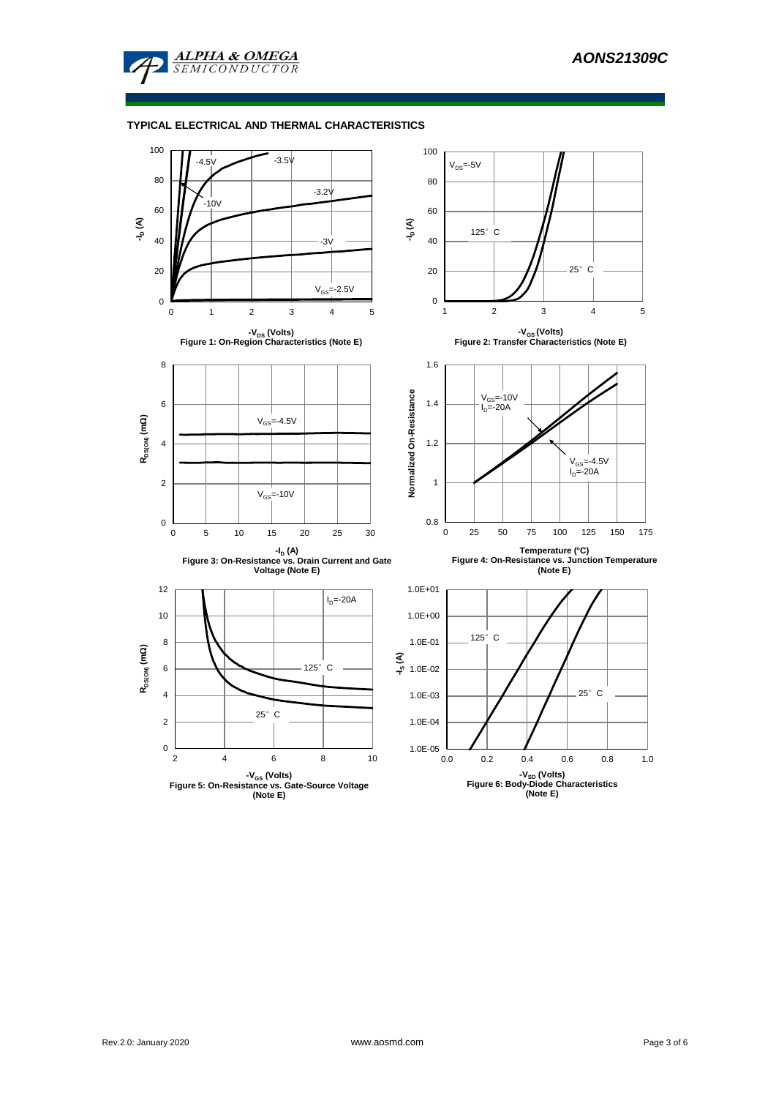

### **TYPICAL ELECTRICAL AND THERMAL CHARACTERISTICS**

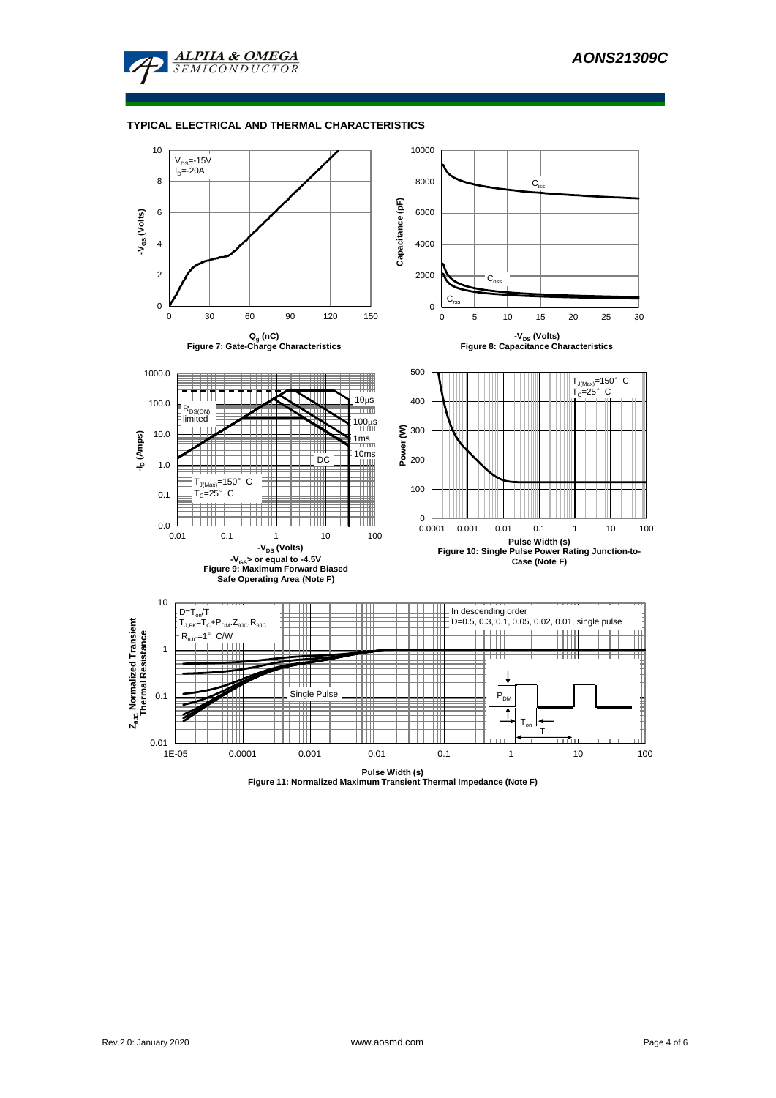

#### **TYPICAL ELECTRICAL AND THERMAL CHARACTERISTICS**



**Pulse Width (s) Figure 11: Normalized Maximum Transient Thermal Impedance (Note F)**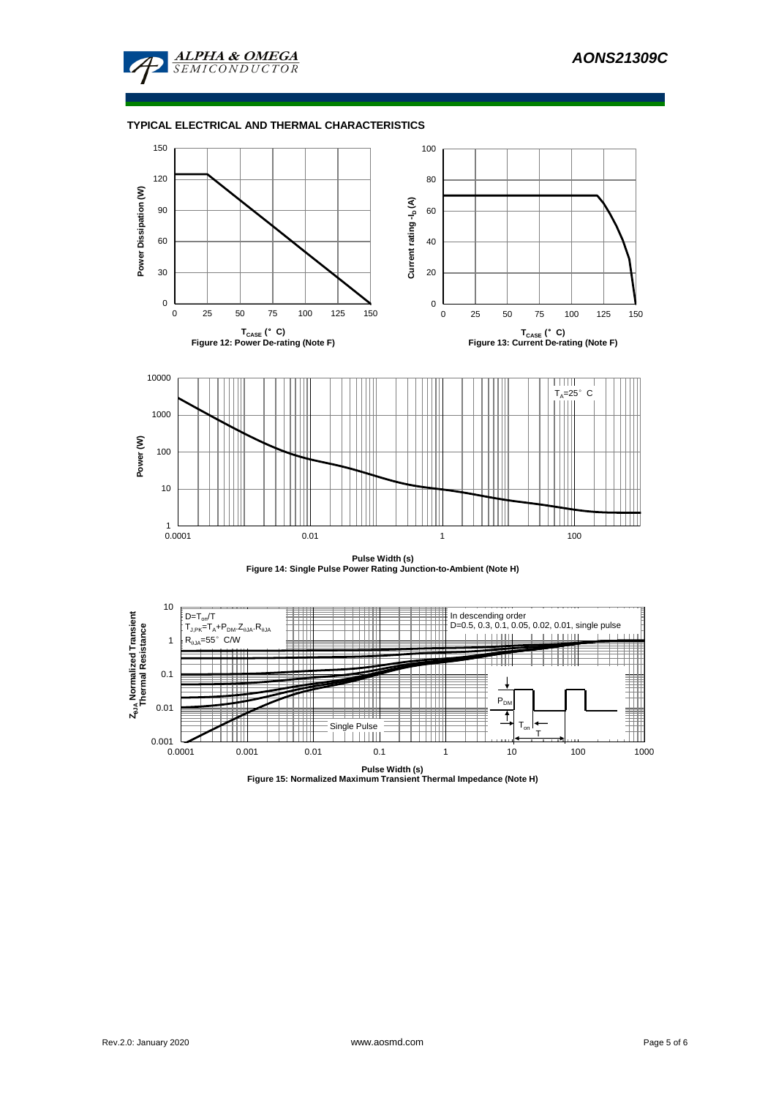

#### **TYPICAL ELECTRICAL AND THERMAL CHARACTERISTICS**



**Pulse Width (s) Figure 14: Single Pulse Power Rating Junction-to-Ambient (Note H)**



**Pulse Width (s) Figure 15: Normalized Maximum Transient Thermal Impedance (Note H)**